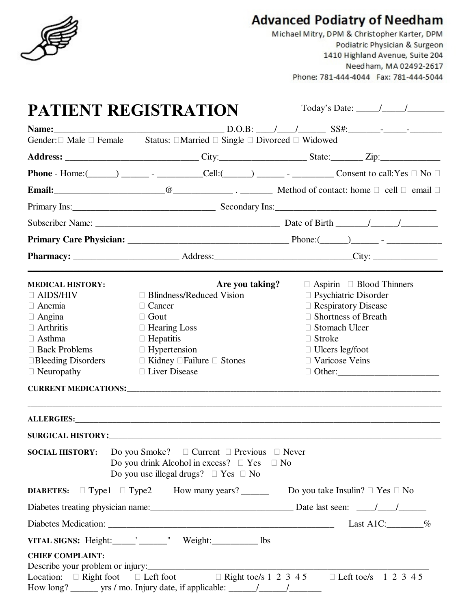

# **Advanced Podiatry of Needham**

Michael Mitry, DPM & Christopher Karter, DPM Podiatric Physician & Surgeon 1410 Highland Avenue, Suite 204 Needham, MA 02492-2617 Phone: 781-444-4044 Fax: 781-444-5044

| Today's Date: $\frac{\sqrt{2}}{2}$<br><b>PATIENT REGISTRATION</b>                                                                                               |                                                                                                                                                                                                                                |                                                                                                                                                                                                            |  |  |
|-----------------------------------------------------------------------------------------------------------------------------------------------------------------|--------------------------------------------------------------------------------------------------------------------------------------------------------------------------------------------------------------------------------|------------------------------------------------------------------------------------------------------------------------------------------------------------------------------------------------------------|--|--|
|                                                                                                                                                                 |                                                                                                                                                                                                                                |                                                                                                                                                                                                            |  |  |
|                                                                                                                                                                 | Gender: Male Female Status: Married Single Divorced Widowed                                                                                                                                                                    |                                                                                                                                                                                                            |  |  |
|                                                                                                                                                                 |                                                                                                                                                                                                                                |                                                                                                                                                                                                            |  |  |
|                                                                                                                                                                 |                                                                                                                                                                                                                                | <b>Phone</b> - Home: $(\_\_\_\_\_\_\_$ - $\_\_\_\_$ Cell: $(\_\_\_\_\_\_\_$ - $\_\_\_\_\_$ Consent to call: Yes<br>N <sub>0</sub>                                                                          |  |  |
|                                                                                                                                                                 |                                                                                                                                                                                                                                | email                                                                                                                                                                                                      |  |  |
|                                                                                                                                                                 | Primary Ins: 1992 March 2014 Secondary Ins: 2014 March 2014 March 2014 March 2014 March 2014 March 2014 March 2014 March 2014 March 2014 March 2014 March 2014 March 2014 March 2014 March 2014 March 2014 March 2014 March 20 |                                                                                                                                                                                                            |  |  |
|                                                                                                                                                                 |                                                                                                                                                                                                                                |                                                                                                                                                                                                            |  |  |
|                                                                                                                                                                 |                                                                                                                                                                                                                                |                                                                                                                                                                                                            |  |  |
|                                                                                                                                                                 |                                                                                                                                                                                                                                |                                                                                                                                                                                                            |  |  |
| <b>MEDICAL HISTORY:</b><br><b>AIDS/HIV</b><br>Anemia<br>Angina<br><b>Arthritis</b><br>Asthma<br><b>Back Problems</b><br><b>Bleeding Disorders</b><br>Neuropathy | Are you taking?<br><b>Blindness/Reduced Vision</b><br>Cancer<br>Gout<br><b>Hearing Loss</b><br>Hepatitis<br>Hypertension<br>Kidney Failure<br><b>Stones</b><br><b>Liver Disease</b>                                            | Aspirin Blood Thinners<br>Psychiatric Disorder<br><b>Respiratory Disease</b><br><b>Shortness of Breath</b><br><b>Stomach Ulcer</b><br>Stroke<br>Ulcers leg/foot<br>Varicose Veins<br>ALLERGIES: ALLERGIES: |  |  |
| <b>SOCIAL HISTORY:</b>                                                                                                                                          | Do you Smoke?<br>Current<br>Previous<br>Do you drink Alcohol in excess?<br>Yes<br>Do you use illegal drugs? Yes<br>N <sub>0</sub>                                                                                              | Never<br>N <sub>o</sub>                                                                                                                                                                                    |  |  |
| Type1<br><b>DIABETES:</b>                                                                                                                                       |                                                                                                                                                                                                                                | Type2 How many years? _________ Do you take Insulin? Yes No                                                                                                                                                |  |  |
|                                                                                                                                                                 |                                                                                                                                                                                                                                |                                                                                                                                                                                                            |  |  |
|                                                                                                                                                                 | Last A1C: $\frac{\%}{\%}$                                                                                                                                                                                                      |                                                                                                                                                                                                            |  |  |
|                                                                                                                                                                 | VITAL SIGNS: Height:________' _________ Weight:____________ lbs                                                                                                                                                                |                                                                                                                                                                                                            |  |  |
| <b>CHIEF COMPLAINT:</b>                                                                                                                                         |                                                                                                                                                                                                                                | Describe your problem or injury:<br>Location: Right foot Left foot Right toe/s 1 2 3 4 5 Left toe/s 1 2 3 4 5                                                                                              |  |  |